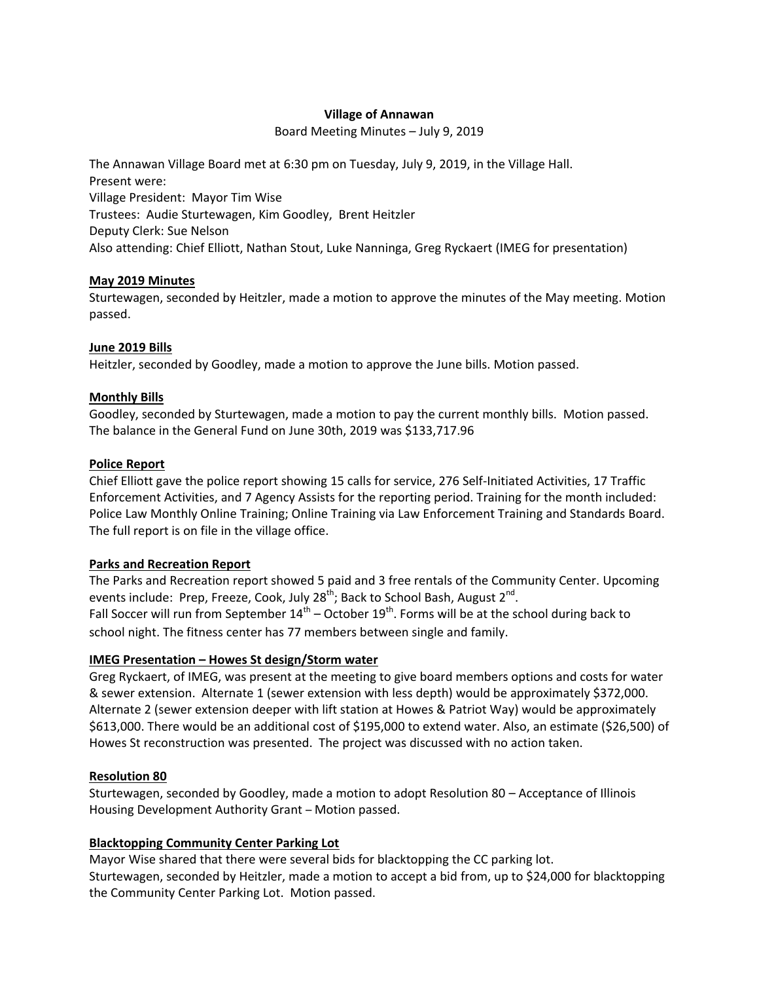## **Village of Annawan**

Board Meeting Minutes – July 9, 2019

The Annawan Village Board met at 6:30 pm on Tuesday, July 9, 2019, in the Village Hall. Present were: Village President: Mayor Tim Wise Trustees: Audie Sturtewagen, Kim Goodley, Brent Heitzler Deputy Clerk: Sue Nelson Also attending: Chief Elliott, Nathan Stout, Luke Nanninga, Greg Ryckaert (IMEG for presentation)

## **May 2019 Minutes**

Sturtewagen, seconded by Heitzler, made a motion to approve the minutes of the May meeting. Motion passed.

### **June 2019 Bills**

Heitzler, seconded by Goodley, made a motion to approve the June bills. Motion passed.

### **Monthly Bills**

Goodley, seconded by Sturtewagen, made a motion to pay the current monthly bills. Motion passed. The balance in the General Fund on June 30th, 2019 was \$133,717.96

### **Police Report**

Chief Elliott gave the police report showing 15 calls for service, 276 Self-Initiated Activities, 17 Traffic Enforcement Activities, and 7 Agency Assists for the reporting period. Training for the month included: Police Law Monthly Online Training; Online Training via Law Enforcement Training and Standards Board. The full report is on file in the village office.

## **Parks and Recreation Report**

The Parks and Recreation report showed 5 paid and 3 free rentals of the Community Center. Upcoming events include: Prep, Freeze, Cook, July 28<sup>th</sup>; Back to School Bash, August 2<sup>nd</sup>. Fall Soccer will run from September  $14^{th}$  – October  $19^{th}$ . Forms will be at the school during back to school night. The fitness center has 77 members between single and family.

## **IMEG Presentation – Howes St design/Storm water**

Greg Ryckaert, of IMEG, was present at the meeting to give board members options and costs for water & sewer extension. Alternate 1 (sewer extension with less depth) would be approximately \$372,000. Alternate 2 (sewer extension deeper with lift station at Howes & Patriot Way) would be approximately \$613,000. There would be an additional cost of \$195,000 to extend water. Also, an estimate (\$26,500) of Howes St reconstruction was presented. The project was discussed with no action taken.

## **Resolution 80**

Sturtewagen, seconded by Goodley, made a motion to adopt Resolution 80 – Acceptance of Illinois Housing Development Authority Grant – Motion passed.

## **Blacktopping Community Center Parking Lot**

Mayor Wise shared that there were several bids for blacktopping the CC parking lot. Sturtewagen, seconded by Heitzler, made a motion to accept a bid from, up to \$24,000 for blacktopping the Community Center Parking Lot. Motion passed.